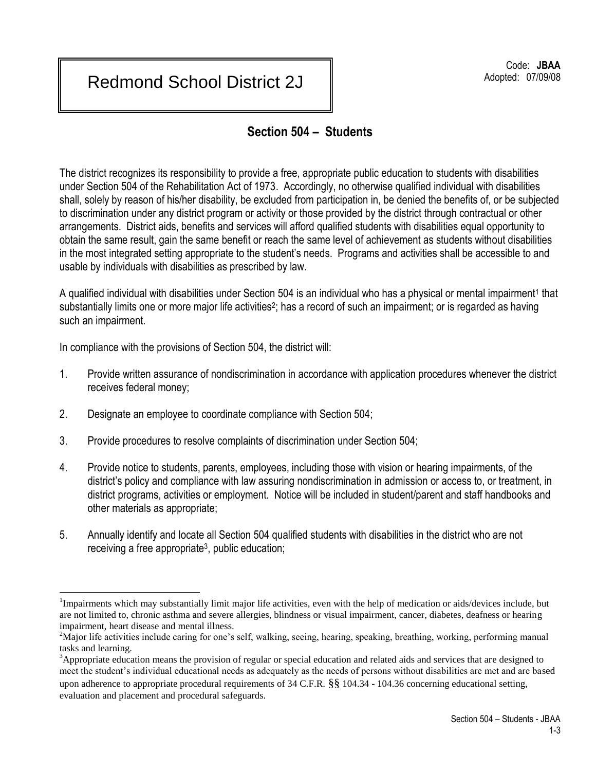## Redmond School District 2J

## **Section 504 – Students**

The district recognizes its responsibility to provide a free, appropriate public education to students with disabilities under Section 504 of the Rehabilitation Act of 1973. Accordingly, no otherwise qualified individual with disabilities shall, solely by reason of his/her disability, be excluded from participation in, be denied the benefits of, or be subjected to discrimination under any district program or activity or those provided by the district through contractual or other arrangements. District aids, benefits and services will afford qualified students with disabilities equal opportunity to obtain the same result, gain the same benefit or reach the same level of achievement as students without disabilities in the most integrated setting appropriate to the student's needs. Programs and activities shall be accessible to and usable by individuals with disabilities as prescribed by law.

A qualified individual with disabilities under Section 504 is an individual who has a physical or mental impairment<sup>1</sup> that substantially limits one or more major life activities<sup>2</sup>; has a record of such an impairment; or is regarded as having such an impairment.

In compliance with the provisions of Section 504, the district will:

- 1. Provide written assurance of nondiscrimination in accordance with application procedures whenever the district receives federal money;
- 2. Designate an employee to coordinate compliance with Section 504;
- 3. Provide procedures to resolve complaints of discrimination under Section 504;
- 4. Provide notice to students, parents, employees, including those with vision or hearing impairments, of the district's policy and compliance with law assuring nondiscrimination in admission or access to, or treatment, in district programs, activities or employment. Notice will be included in student/parent and staff handbooks and other materials as appropriate;
- 5. Annually identify and locate all Section 504 qualified students with disabilities in the district who are not receiving a free appropriate<sup>3</sup>, public education;

evaluation and placement and procedural safeguards.

 $\overline{a}$ 

<sup>&</sup>lt;sup>1</sup>Impairments which may substantially limit major life activities, even with the help of medication or aids/devices include, but are not limited to, chronic asthma and severe allergies, blindness or visual impairment, cancer, diabetes, deafness or hearing impairment, heart disease and mental illness.

<sup>&</sup>lt;sup>2</sup>Major life activities include caring for one's self, walking, seeing, hearing, speaking, breathing, working, performing manual tasks and learning.

<sup>&</sup>lt;sup>3</sup>Appropriate education means the provision of regular or special education and related aids and services that are designed to meet the student's individual educational needs as adequately as the needs of persons without disabilities are met and are based upon adherence to appropriate procedural requirements of  $34 \text{ C.F.R.}$  §§  $104.34 - 104.36$  concerning educational setting,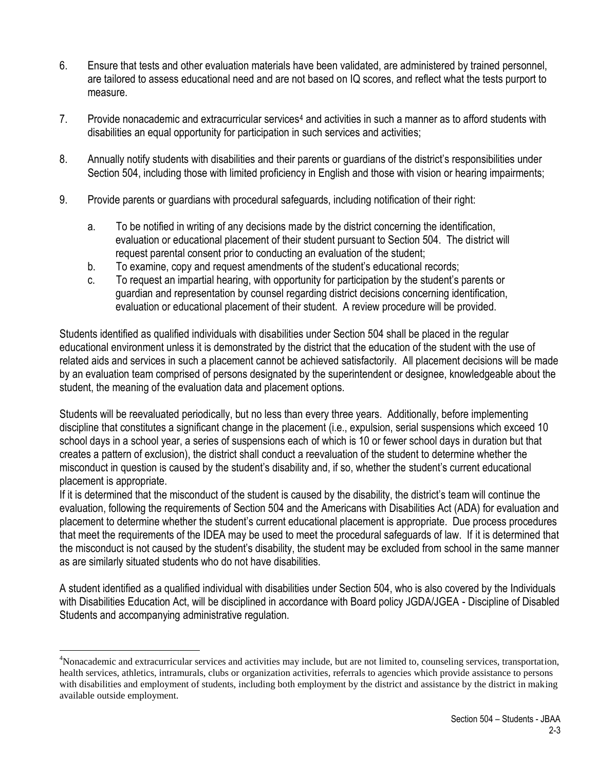- 6. Ensure that tests and other evaluation materials have been validated, are administered by trained personnel, are tailored to assess educational need and are not based on IQ scores, and reflect what the tests purport to measure.
- 7. Provide nonacademic and extracurricular services<sup>4</sup> and activities in such a manner as to afford students with disabilities an equal opportunity for participation in such services and activities;
- 8. Annually notify students with disabilities and their parents or guardians of the district's responsibilities under Section 504, including those with limited proficiency in English and those with vision or hearing impairments;
- 9. Provide parents or guardians with procedural safeguards, including notification of their right:
	- a. To be notified in writing of any decisions made by the district concerning the identification, evaluation or educational placement of their student pursuant to Section 504. The district will request parental consent prior to conducting an evaluation of the student;
	- b. To examine, copy and request amendments of the student's educational records;
	- c. To request an impartial hearing, with opportunity for participation by the student's parents or guardian and representation by counsel regarding district decisions concerning identification, evaluation or educational placement of their student. A review procedure will be provided.

Students identified as qualified individuals with disabilities under Section 504 shall be placed in the regular educational environment unless it is demonstrated by the district that the education of the student with the use of related aids and services in such a placement cannot be achieved satisfactorily. All placement decisions will be made by an evaluation team comprised of persons designated by the superintendent or designee, knowledgeable about the student, the meaning of the evaluation data and placement options.

Students will be reevaluated periodically, but no less than every three years. Additionally, before implementing discipline that constitutes a significant change in the placement (i.e., expulsion, serial suspensions which exceed 10 school days in a school year, a series of suspensions each of which is 10 or fewer school days in duration but that creates a pattern of exclusion), the district shall conduct a reevaluation of the student to determine whether the misconduct in question is caused by the student's disability and, if so, whether the student's current educational placement is appropriate.

If it is determined that the misconduct of the student is caused by the disability, the district's team will continue the evaluation, following the requirements of Section 504 and the Americans with Disabilities Act (ADA) for evaluation and placement to determine whether the student's current educational placement is appropriate. Due process procedures that meet the requirements of the IDEA may be used to meet the procedural safeguards of law. If it is determined that the misconduct is not caused by the student's disability, the student may be excluded from school in the same manner as are similarly situated students who do not have disabilities.

A student identified as a qualified individual with disabilities under Section 504, who is also covered by the Individuals with Disabilities Education Act, will be disciplined in accordance with Board policy JGDA/JGEA - Discipline of Disabled Students and accompanying administrative regulation.

 $\overline{a}$ 

<sup>&</sup>lt;sup>4</sup>Nonacademic and extracurricular services and activities may include, but are not limited to, counseling services, transportation, health services, athletics, intramurals, clubs or organization activities, referrals to agencies which provide assistance to persons with disabilities and employment of students, including both employment by the district and assistance by the district in making available outside employment.